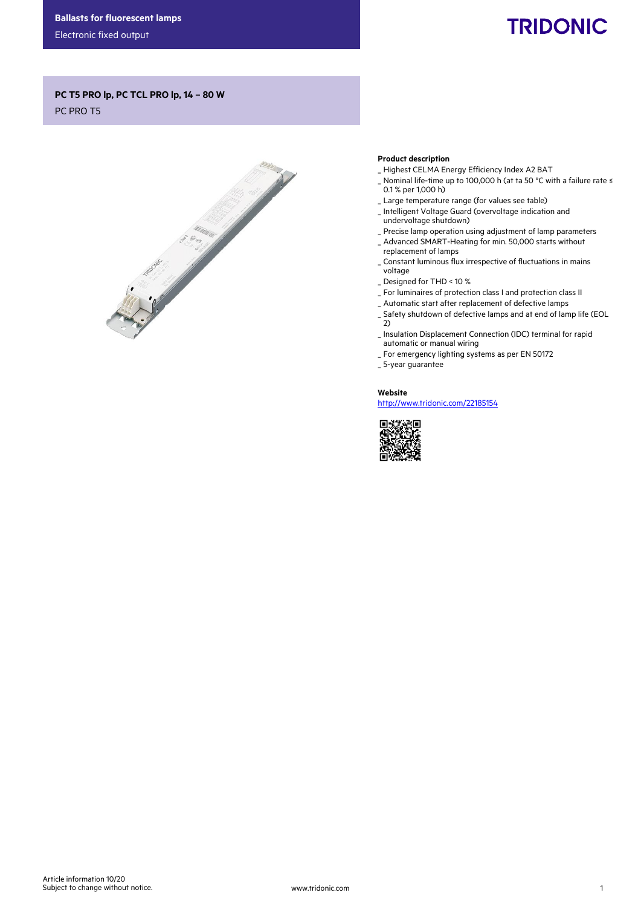Electronic fixed output

# **TRIDONIC**

## PC T5 PRO lp, PC TCL PRO lp, 14 – 80 W

PC PRO T5



#### Product description

- \_ Highest CELMA Energy Efficiency Index A2 BAT
- \_ Nominal life-time up to 100,000 h (at ta 50 °C with a failure rate ≤ 0.1 % per 1,000 h)
- \_ Large temperature range (for values see table)
- \_ Intelligent Voltage Guard (overvoltage indication and undervoltage shutdown)
- \_ Precise lamp operation using adjustment of lamp parameters
- \_ Advanced SMART-Heating for min. 50,000 starts without replacement of lamps
- \_ Constant luminous flux irrespective of fluctuations in mains voltage
- \_ Designed for THD < 10 %
- \_ For luminaires of protection class I and protection class II
- \_ Automatic start after replacement of defective lamps
- \_ Safety shutdown of defective lamps and at end of lamp life (EOL  $2)$
- \_ Insulation Displacement Connection (IDC) terminal for rapid automatic or manual wiring
- \_ For emergency lighting systems as per EN 50172
- \_ 5-year guarantee

Website http://www.tridonic.com/22185154